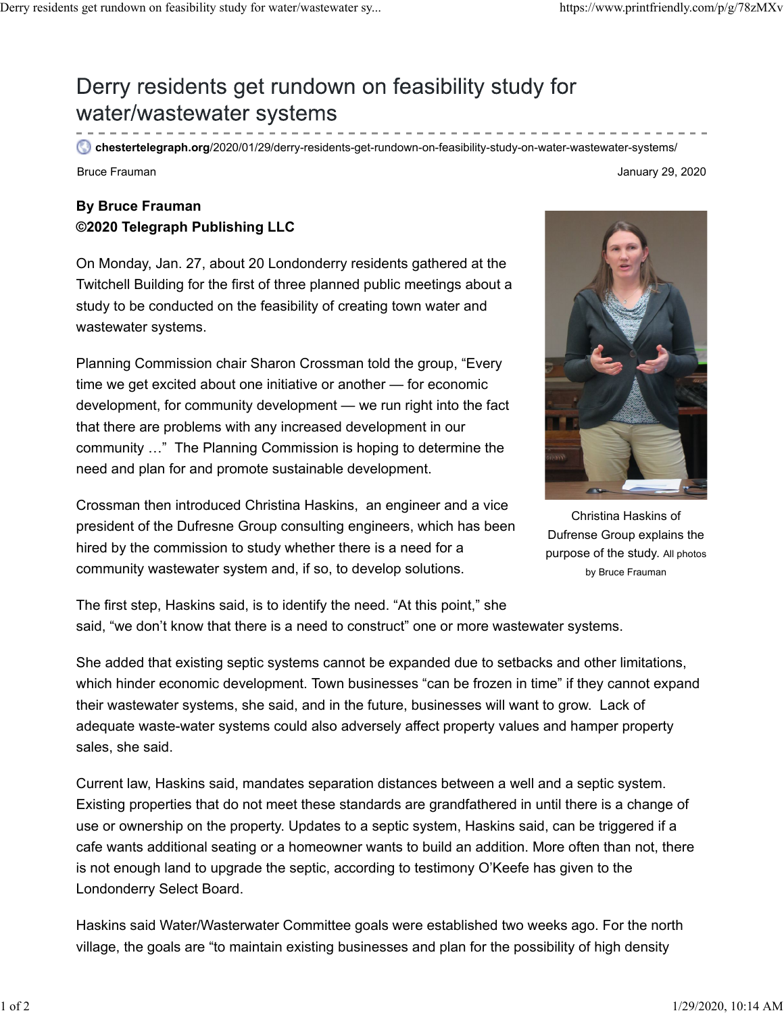## Derry residents get rundown on feasibility study for water/wastewater systems

**chestertelegraph.org**/2020/01/29/derry-residents-get-rundown-on-feasibility-study-on-water-wastewater-systems/

## **By Bruce Frauman ©2020 Telegraph Publishing LLC**

On Monday, Jan. 27, about 20 Londonderry residents gathered at the Twitchell Building for the first of three planned public meetings about a study to be conducted on the feasibility of creating town water and wastewater systems.

Planning Commission chair Sharon Crossman told the group, "Every time we get excited about one initiative or another — for economic development, for community development — we run right into the fact that there are problems with any increased development in our community …" The Planning Commission is hoping to determine the need and plan for and promote sustainable development.

Crossman then introduced Christina Haskins, an engineer and a vice president of the Dufresne Group consulting engineers, which has been hired by the commission to study whether there is a need for a community wastewater system and, if so, to develop solutions.

Christina Haskins of Dufrense Group explains the purpose of the study. All photos

by Bruce Frauman

The first step, Haskins said, is to identify the need. "At this point," she said, "we don't know that there is a need to construct" one or more wastewater systems.

She added that existing septic systems cannot be expanded due to setbacks and other limitations, which hinder economic development. Town businesses "can be frozen in time" if they cannot expand their wastewater systems, she said, and in the future, businesses will want to grow. Lack of adequate waste-water systems could also adversely affect property values and hamper property sales, she said.

Current law, Haskins said, mandates separation distances between a well and a septic system. Existing properties that do not meet these standards are grandfathered in until there is a change of use or ownership on the property. Updates to a septic system, Haskins said, can be triggered if a cafe wants additional seating or a homeowner wants to build an addition. More often than not, there is not enough land to upgrade the septic, according to testimony O'Keefe has given to the Londonderry Select Board.

Haskins said Water/Wasterwater Committee goals were established two weeks ago. For the north village, the goals are "to maintain existing businesses and plan for the possibility of high density



Bruce Frauman January 29, 2020